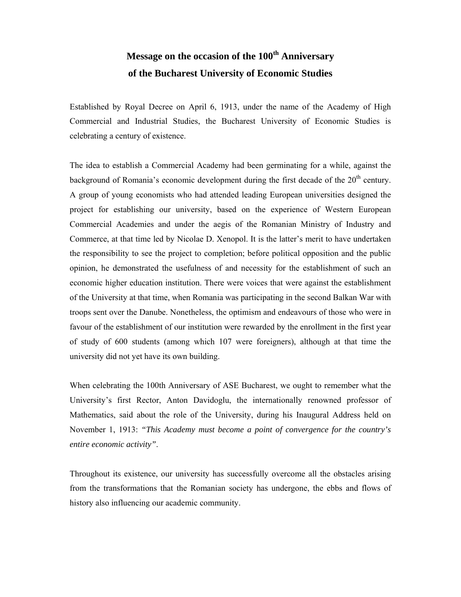## **Message on the occasion of the 100th Anniversary of the Bucharest University of Economic Studies**

Established by Royal Decree on April 6, 1913, under the name of the Academy of High Commercial and Industrial Studies, the Bucharest University of Economic Studies is celebrating a century of existence.

The idea to establish a Commercial Academy had been germinating for a while, against the background of Romania's economic development during the first decade of the  $20<sup>th</sup>$  century. A group of young economists who had attended leading European universities designed the project for establishing our university, based on the experience of Western European Commercial Academies and under the aegis of the Romanian Ministry of Industry and Commerce, at that time led by Nicolae D. Xenopol. It is the latter's merit to have undertaken the responsibility to see the project to completion; before political opposition and the public opinion, he demonstrated the usefulness of and necessity for the establishment of such an economic higher education institution. There were voices that were against the establishment of the University at that time, when Romania was participating in the second Balkan War with troops sent over the Danube. Nonetheless, the optimism and endeavours of those who were in favour of the establishment of our institution were rewarded by the enrollment in the first year of study of 600 students (among which 107 were foreigners), although at that time the university did not yet have its own building.

When celebrating the 100th Anniversary of ASE Bucharest, we ought to remember what the University's first Rector, Anton Davidoglu, the internationally renowned professor of Mathematics, said about the role of the University, during his Inaugural Address held on November 1, 1913: *"This Academy must become a point of convergence for the country's entire economic activity"*.

Throughout its existence, our university has successfully overcome all the obstacles arising from the transformations that the Romanian society has undergone, the ebbs and flows of history also influencing our academic community.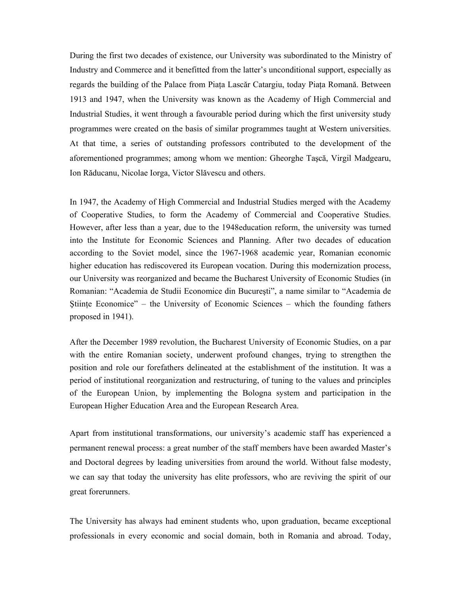During the first two decades of existence, our University was subordinated to the Ministry of Industry and Commerce and it benefitted from the latter's unconditional support, especially as regards the building of the Palace from Piaţa Lascăr Catargiu, today Piaţa Romană. Between 1913 and 1947, when the University was known as the Academy of High Commercial and Industrial Studies, it went through a favourable period during which the first university study programmes were created on the basis of similar programmes taught at Western universities. At that time, a series of outstanding professors contributed to the development of the aforementioned programmes; among whom we mention: Gheorghe Taşcă, Virgil Madgearu, Ion Răducanu, Nicolae Iorga, Victor Slăvescu and others.

In 1947, the Academy of High Commercial and Industrial Studies merged with the Academy of Cooperative Studies, to form the Academy of Commercial and Cooperative Studies. However, after less than a year, due to the 1948education reform, the university was turned into the Institute for Economic Sciences and Planning. After two decades of education according to the Soviet model, since the 1967-1968 academic year, Romanian economic higher education has rediscovered its European vocation. During this modernization process, our University was reorganized and became the Bucharest University of Economic Studies (in Romanian: "Academia de Studii Economice din Bucureşti", a name similar to "Academia de Stiinte Economice" – the University of Economic Sciences – which the founding fathers proposed in 1941).

After the December 1989 revolution, the Bucharest University of Economic Studies, on a par with the entire Romanian society, underwent profound changes, trying to strengthen the position and role our forefathers delineated at the establishment of the institution. It was a period of institutional reorganization and restructuring, of tuning to the values and principles of the European Union, by implementing the Bologna system and participation in the European Higher Education Area and the European Research Area.

Apart from institutional transformations, our university's academic staff has experienced a permanent renewal process: a great number of the staff members have been awarded Master's and Doctoral degrees by leading universities from around the world. Without false modesty, we can say that today the university has elite professors, who are reviving the spirit of our great forerunners.

The University has always had eminent students who, upon graduation, became exceptional professionals in every economic and social domain, both in Romania and abroad. Today,